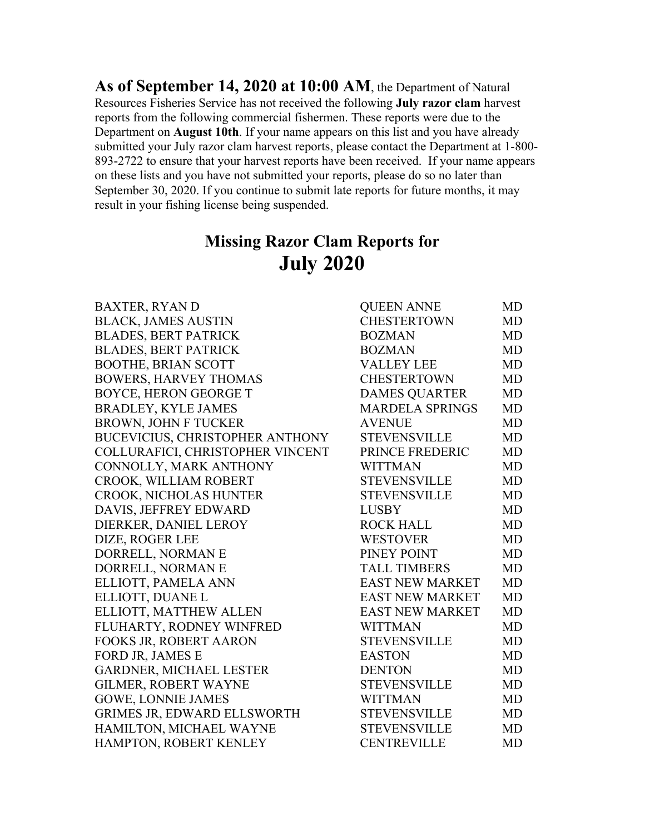**As of September 14, 2020 at 10:00 AM**, the Department of Natural Resources Fisheries Service has not received the following **July razor clam** harvest reports from the following commercial fishermen. These reports were due to the Department on **August 10th**. If your name appears on this list and you have already submitted your July razor clam harvest reports, please contact the Department at 1-800- 893-2722 to ensure that your harvest reports have been received. If your name appears on these lists and you have not submitted your reports, please do so no later than September 30, 2020. If you continue to submit late reports for future months, it may result in your fishing license being suspended.

## **Missing Razor Clam Reports for July 2020**

| <b>BAXTER, RYAN D</b>            | <b>QUEEN ANNE</b>      | MD        |
|----------------------------------|------------------------|-----------|
| <b>BLACK, JAMES AUSTIN</b>       | <b>CHESTERTOWN</b>     | MD        |
| <b>BLADES, BERT PATRICK</b>      | <b>BOZMAN</b>          | MD        |
| <b>BLADES, BERT PATRICK</b>      | <b>BOZMAN</b>          | MD        |
| <b>BOOTHE, BRIAN SCOTT</b>       | <b>VALLEY LEE</b>      | MD        |
| <b>BOWERS, HARVEY THOMAS</b>     | <b>CHESTERTOWN</b>     | MD        |
| <b>BOYCE, HERON GEORGE T</b>     | <b>DAMES QUARTER</b>   | MD        |
| <b>BRADLEY, KYLE JAMES</b>       | <b>MARDELA SPRINGS</b> | <b>MD</b> |
| <b>BROWN, JOHN F TUCKER</b>      | <b>AVENUE</b>          | MD        |
| BUCEVICIUS, CHRISTOPHER ANTHONY  | <b>STEVENSVILLE</b>    | MD        |
| COLLURAFICI, CHRISTOPHER VINCENT | PRINCE FREDERIC        | MD        |
| CONNOLLY, MARK ANTHONY           | <b>WITTMAN</b>         | MD        |
| CROOK, WILLIAM ROBERT            | <b>STEVENSVILLE</b>    | MD        |
| CROOK, NICHOLAS HUNTER           | <b>STEVENSVILLE</b>    | MD        |
| DAVIS, JEFFREY EDWARD            | <b>LUSBY</b>           | MD        |
| DIERKER, DANIEL LEROY            | <b>ROCK HALL</b>       | MD        |
| DIZE, ROGER LEE                  | <b>WESTOVER</b>        | MD        |
| DORRELL, NORMAN E                | PINEY POINT            | MD        |
| DORRELL, NORMAN E                | <b>TALL TIMBERS</b>    | MD        |
| ELLIOTT, PAMELA ANN              | <b>EAST NEW MARKET</b> | <b>MD</b> |
| ELLIOTT, DUANE L                 | <b>EAST NEW MARKET</b> | MD        |
| ELLIOTT, MATTHEW ALLEN           | <b>EAST NEW MARKET</b> | MD        |
| FLUHARTY, RODNEY WINFRED         | <b>WITTMAN</b>         | MD        |
| FOOKS JR, ROBERT AARON           | <b>STEVENSVILLE</b>    | MD        |
| FORD JR, JAMES E                 | <b>EASTON</b>          | <b>MD</b> |
| GARDNER, MICHAEL LESTER          | <b>DENTON</b>          | MD        |
| <b>GILMER, ROBERT WAYNE</b>      | <b>STEVENSVILLE</b>    | MD        |
| <b>GOWE, LONNIE JAMES</b>        | <b>WITTMAN</b>         | MD        |
| GRIMES JR, EDWARD ELLSWORTH      | <b>STEVENSVILLE</b>    | MD        |
| HAMILTON, MICHAEL WAYNE          | <b>STEVENSVILLE</b>    | MD        |
| HAMPTON, ROBERT KENLEY           | <b>CENTREVILLE</b>     | MD        |
|                                  |                        |           |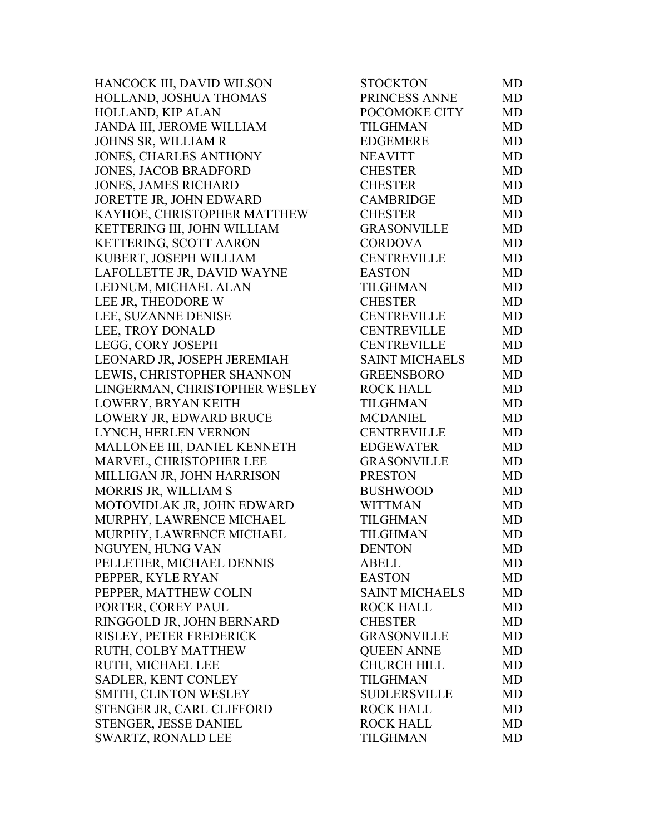HANCOCK III, DAVID WILSON HOLLAND, JOSHUA THOMAS HOLLAND, KIP ALAN JANDA III, JEROME WILLIAM JOHNS SR, WILLIAM R JONES, CHARLES ANTHONY JONES, JACOB BRADFORD JONES, JAMES RICHARD JORETTE JR, JOHN EDWARD KAYHOE, CHRISTOPHER MATTHEW KETTERING III, JOHN WILLIAM KETTERING, SCOTT AARON KUBERT, JOSEPH WILLIAM LAFOLLETTE JR, DAVID WAYNE LEDNUM, MICHAEL ALAN LEE JR, THEODORE W LEE, SUZANNE DENISE LEE, TROY DONALD LEGG, CORY JOSEPH LEONARD JR, JOSEPH JEREMIAH LEWIS, CHRISTOPHER SHANNON LINGERMAN, CHRISTOPHER WESLEY LOWERY, BRYAN KEITH LOWERY JR, EDWARD BRUCE LYNCH, HERLEN VERNON MALLONEE III, DANIEL KENNETH MARVEL, CHRISTOPHER LEE MILLIGAN JR, JOHN HARRISON MORRIS JR, WILLIAM S MOTOVIDLAK JR, JOHN EDWARD MURPHY, LAWRENCE MICHAEL MURPHY, LAWRENCE MICHAEL NGUYEN, HUNG VAN PELLETIER, MICHAEL DENNIS PEPPER, KYLE RYAN PEPPER, MATTHEW COLIN PORTER, COREY PAUL RINGGOLD JR, JOHN BERNARD RISLEY, PETER FREDERICK RUTH, COLBY MATTHEW RUTH, MICHAEL LEE SADLER, KENT CONLEY SMITH, CLINTON WESLEY STENGER JR, CARL CLIFFORD STENGER, JESSE DANIEL SWARTZ, RONALD LEE

| STOCKTON              | MD        |
|-----------------------|-----------|
| PRINCESS ANNE         | <b>MD</b> |
| POCOMOKE CITY         | MD        |
| <b>TILGHMAN</b>       | <b>MD</b> |
| <b>EDGEMERE</b>       | <b>MD</b> |
| <b>NEAVITT</b>        | <b>MD</b> |
| <b>CHESTER</b>        | <b>MD</b> |
| <b>CHESTER</b>        | <b>MD</b> |
| <b>CAMBRIDGE</b>      | <b>MD</b> |
| <b>CHESTER</b>        | <b>MD</b> |
| <b>GRASONVILLE</b>    | <b>MD</b> |
| <b>CORDOVA</b>        | <b>MD</b> |
| <b>CENTREVILLE</b>    | <b>MD</b> |
| <b>EASTON</b>         | <b>MD</b> |
| <b>TILGHMAN</b>       | <b>MD</b> |
| <b>CHESTER</b>        | <b>MD</b> |
| <b>CENTREVILLE</b>    | <b>MD</b> |
| <b>CENTREVILLE</b>    | <b>MD</b> |
| <b>CENTREVILLE</b>    | <b>MD</b> |
| <b>SAINT MICHAELS</b> | <b>MD</b> |
| <b>GREENSBORO</b>     | <b>MD</b> |
| <b>ROCK HALL</b>      | <b>MD</b> |
| <b>TILGHMAN</b>       | MD        |
| <b>MCDANIEL</b>       | <b>MD</b> |
| <b>CENTREVILLE</b>    | <b>MD</b> |
| <b>EDGEWATER</b>      | <b>MD</b> |
| <b>GRASONVILLE</b>    | <b>MD</b> |
| <b>PRESTON</b>        | <b>MD</b> |
| <b>BUSHWOOD</b>       | <b>MD</b> |
| <b>WITTMAN</b>        | <b>MD</b> |
| <b>TILGHMAN</b>       | <b>MD</b> |
| <b>TILGHMAN</b>       | <b>MD</b> |
| <b>DENTON</b>         | MD        |
| <b>ABELL</b>          | MD        |
| <b>EASTON</b>         | MD        |
| <b>SAINT MICHAELS</b> | MD        |
| <b>ROCK HALL</b>      | <b>MD</b> |
| <b>CHESTER</b>        | <b>MD</b> |
| <b>GRASONVILLE</b>    | <b>MD</b> |
| <b>OUEEN ANNE</b>     | <b>MD</b> |
| <b>CHURCH HILL</b>    | MD        |
| <b>TILGHMAN</b>       | <b>MD</b> |
| SUDLERSVILLE          | <b>MD</b> |
| <b>ROCK HALL</b>      | <b>MD</b> |
| <b>ROCK HALL</b>      | <b>MD</b> |
| <b>TILGHMAN</b>       | MD        |
|                       |           |